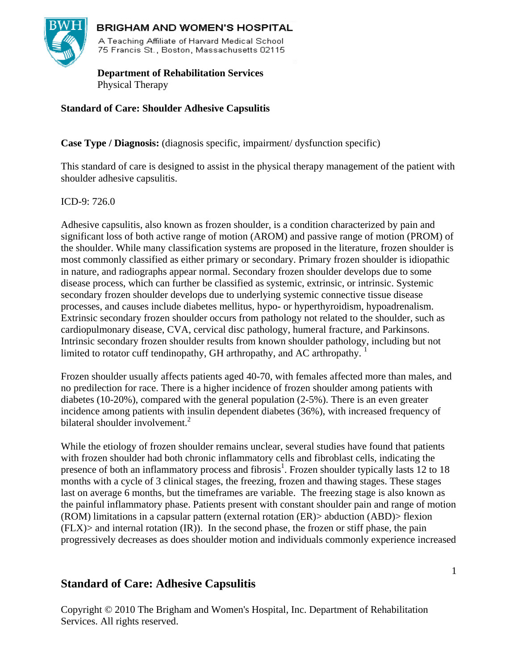

# **BRIGHAM AND WOMEN'S HOSPITAL**

A Teaching Affiliate of Harvard Medical School 75 Francis St., Boston, Massachusetts 02115

 **Department of Rehabilitation Services**  Physical Therapy

# **Standard of Care: Shoulder Adhesive Capsulitis**

**Case Type / Diagnosis:** (diagnosis specific, impairment/ dysfunction specific)

This standard of care is designed to assist in the physical therapy management of the patient with shoulder adhesive capsulitis.

## $ICD-9: 726.0$

Adhesive capsulitis, also known as frozen shoulder, is a condition characterized by pain and significant loss of both active range of motion (AROM) and passive range of motion (PROM) of the shoulder. While many classification systems are proposed in the literature, frozen shoulder is most commonly classified as either primary or secondary. Primary frozen shoulder is idiopathic in nature, and radiographs appear normal. Secondary frozen shoulder develops due to some disease process, which can further be classified as systemic, extrinsic, or intrinsic. Systemic secondary frozen shoulder develops due to underlying systemic connective tissue disease processes, and causes include diabetes mellitus, hypo- or hyperthyroidism, hypoadrenalism. Extrinsic secondary frozen shoulder occurs from pathology not related to the shoulder, such as cardiopulmonary disease, CVA, cervical disc pathology, humeral fracture, and Parkinsons. Intrinsic secondary frozen shoulder results from known shoulder pathology, including but not limited to rotator cuff tendinopathy, GH arthropathy, and AC arthropathy.

Frozen shoulder usually affects patients aged 40-70, with females affected more than males, and no predilection for race. There is a higher incidence of frozen shoulder among patients with diabetes (10-20%), compared with the general population (2-5%). There is an even greater incidence among patients with insulin dependent diabetes (36%), with increased frequency of bilateral shoulder involvement.<sup>2</sup>

While the etiology of frozen shoulder remains unclear, several studies have found that patients with frozen shoulder had both chronic inflammatory cells and fibroblast cells, indicating the presence of both an inflammatory process and fibrosis<sup>1</sup>. Frozen shoulder typically lasts 12 to 18 months with a cycle of 3 clinical stages, the freezing, frozen and thawing stages. These stages last on average 6 months, but the timeframes are variable. The freezing stage is also known as the painful inflammatory phase. Patients present with constant shoulder pain and range of motion (ROM) limitations in a capsular pattern (external rotation (ER)> abduction (ABD)> flexion  $(FLX)$  and internal rotation  $(IR)$ ). In the second phase, the frozen or stiff phase, the pain progressively decreases as does shoulder motion and individuals commonly experience increased

# **Standard of Care: Adhesive Capsulitis**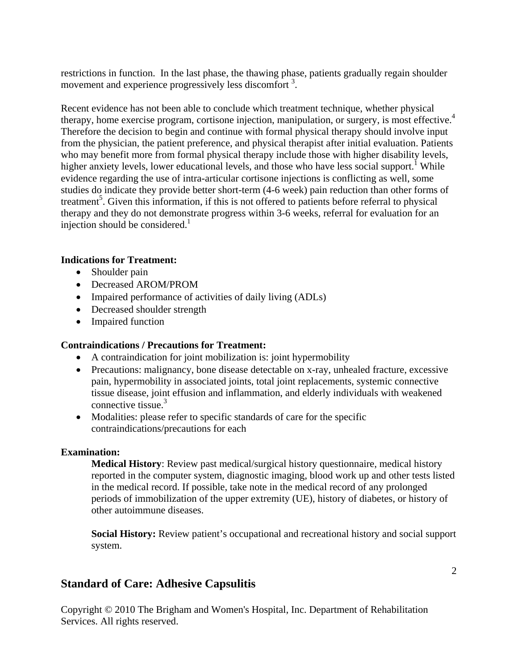restrictions in function. In the last phase, the thawing phase, patients gradually regain shoulder movement and experience progressively less discomfort<sup>3</sup>.

Recent evidence has not been able to conclude which treatment technique, whether physical therapy, home exercise program, cortisone injection, manipulation, or surgery, is most effective.4 Therefore the decision to begin and continue with formal physical therapy should involve input from the physician, the patient preference, and physical therapist after initial evaluation. Patients who may benefit more from formal physical therapy include those with higher disability levels, higher anxiety levels, lower educational levels, and those who have less social support.<sup>1</sup> While evidence regarding the use of intra-articular cortisone injections is conflicting as well, some studies do indicate they provide better short-term (4-6 week) pain reduction than other forms of treatment<sup>5</sup>. Given this information, if this is not offered to patients before referral to physical therapy and they do not demonstrate progress within 3-6 weeks, referral for evaluation for an injection should be considered. $<sup>1</sup>$ </sup>

## **Indications for Treatment:**

- Shoulder pain
- Decreased AROM/PROM
- Impaired performance of activities of daily living (ADLs)
- Decreased shoulder strength
- Impaired function

### **Contraindications / Precautions for Treatment:**

- A contraindication for joint mobilization is: joint hypermobility
- Precautions: malignancy, bone disease detectable on x-ray, unhealed fracture, excessive pain, hypermobility in associated joints, total joint replacements, systemic connective tissue disease, joint effusion and inflammation, and elderly individuals with weakened connective tissue.<sup>3</sup>
- Modalities: please refer to specific standards of care for the specific contraindications/precautions for each

### **Examination:**

**Medical History**: Review past medical/surgical history questionnaire, medical history reported in the computer system, diagnostic imaging, blood work up and other tests listed in the medical record. If possible, take note in the medical record of any prolonged periods of immobilization of the upper extremity (UE), history of diabetes, or history of other autoimmune diseases.

**Social History:** Review patient's occupational and recreational history and social support system.

# **Standard of Care: Adhesive Capsulitis**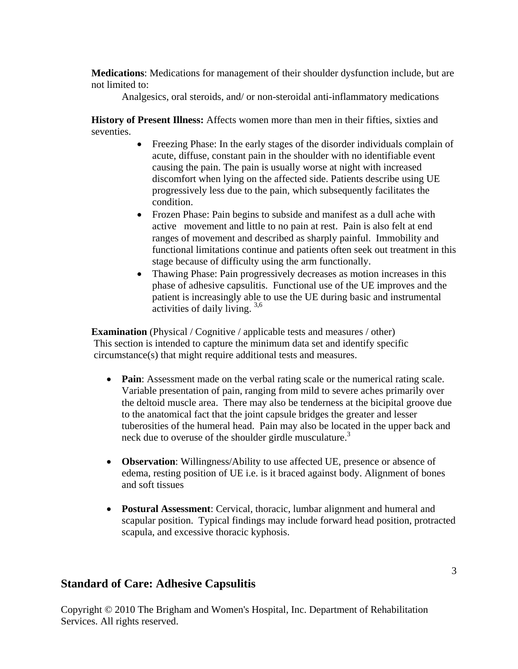**Medications**: Medications for management of their shoulder dysfunction include, but are not limited to:

Analgesics, oral steroids, and/ or non-steroidal anti-inflammatory medications

**History of Present Illness:** Affects women more than men in their fifties, sixties and seventies.

- Freezing Phase: In the early stages of the disorder individuals complain of acute, diffuse, constant pain in the shoulder with no identifiable event causing the pain. The pain is usually worse at night with increased discomfort when lying on the affected side. Patients describe using UE progressively less due to the pain, which subsequently facilitates the condition.
- Frozen Phase: Pain begins to subside and manifest as a dull ache with active movement and little to no pain at rest. Pain is also felt at end ranges of movement and described as sharply painful. Immobility and functional limitations continue and patients often seek out treatment in this stage because of difficulty using the arm functionally.
- Thawing Phase: Pain progressively decreases as motion increases in this phase of adhesive capsulitis. Functional use of the UE improves and the patient is increasingly able to use the UE during basic and instrumental activities of daily living. 3,6

**Examination** (Physical / Cognitive / applicable tests and measures / other) This section is intended to capture the minimum data set and identify specific circumstance(s) that might require additional tests and measures.

- **Pain**: Assessment made on the verbal rating scale or the numerical rating scale. Variable presentation of pain, ranging from mild to severe aches primarily over the deltoid muscle area. There may also be tenderness at the bicipital groove due to the anatomical fact that the joint capsule bridges the greater and lesser tuberosities of the humeral head. Pain may also be located in the upper back and neck due to overuse of the shoulder girdle musculature.<sup>3</sup>
- **Observation**: Willingness/Ability to use affected UE, presence or absence of edema, resting position of UE i.e. is it braced against body. Alignment of bones and soft tissues
- **Postural Assessment**: Cervical, thoracic, lumbar alignment and humeral and scapular position. Typical findings may include forward head position, protracted scapula, and excessive thoracic kyphosis.

# **Standard of Care: Adhesive Capsulitis**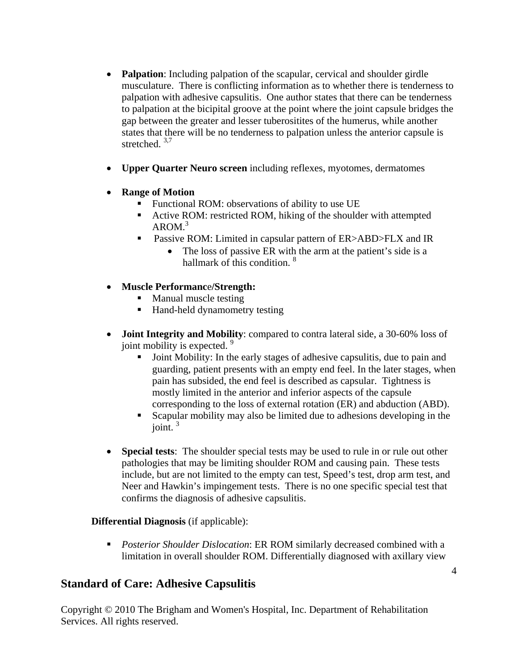- **Palpation**: Including palpation of the scapular, cervical and shoulder girdle musculature. There is conflicting information as to whether there is tenderness to palpation with adhesive capsulitis. One author states that there can be tenderness to palpation at the bicipital groove at the point where the joint capsule bridges the gap between the greater and lesser tuberositites of the humerus, while another states that there will be no tenderness to palpation unless the anterior capsule is stretched. 3,7
- **Upper Quarter Neuro screen** including reflexes, myotomes, dermatomes
- **Range of Motion** 
	- Functional ROM: observations of ability to use UE
	- Active ROM: restricted ROM, hiking of the shoulder with attempted  $AROM.<sup>3</sup>$
	- Passive ROM: Limited in capsular pattern of ER>ABD>FLX and IR
		- The loss of passive ER with the arm at the patient's side is a hallmark of this condition.<sup>8</sup>
- **Muscle Performanc**e**/Strength:**
	- Manual muscle testing
	- Hand-held dynamometry testing
- **Joint Integrity and Mobility**: compared to contra lateral side, a 30-60% loss of joint mobility is expected.<sup>9</sup>
	- Joint Mobility: In the early stages of adhesive capsulitis, due to pain and guarding, patient presents with an empty end feel. In the later stages, when pain has subsided, the end feel is described as capsular. Tightness is mostly limited in the anterior and inferior aspects of the capsule corresponding to the loss of external rotation (ER) and abduction (ABD).
	- Scapular mobility may also be limited due to adhesions developing in the joint. $3$
- **Special tests**: The shoulder special tests may be used to rule in or rule out other pathologies that may be limiting shoulder ROM and causing pain. These tests include, but are not limited to the empty can test, Speed's test, drop arm test, and Neer and Hawkin's impingement tests. There is no one specific special test that confirms the diagnosis of adhesive capsulitis.

# **Differential Diagnosis** (if applicable):

 *Posterior Shoulder Dislocation*: ER ROM similarly decreased combined with a limitation in overall shoulder ROM. Differentially diagnosed with axillary view

# **Standard of Care: Adhesive Capsulitis**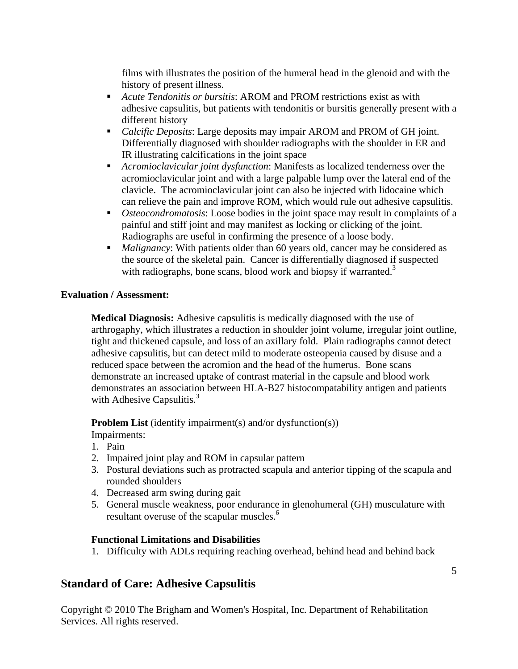films with illustrates the position of the humeral head in the glenoid and with the history of present illness.

- *Acute Tendonitis or bursitis*: AROM and PROM restrictions exist as with adhesive capsulitis, but patients with tendonitis or bursitis generally present with a different history
- *Calcific Deposits*: Large deposits may impair AROM and PROM of GH joint. Differentially diagnosed with shoulder radiographs with the shoulder in ER and IR illustrating calcifications in the joint space
- *Acromioclavicular joint dysfunction*: Manifests as localized tenderness over the acromioclavicular joint and with a large palpable lump over the lateral end of the clavicle. The acromioclavicular joint can also be injected with lidocaine which can relieve the pain and improve ROM, which would rule out adhesive capsulitis.
- *Osteocondromatosis*: Loose bodies in the joint space may result in complaints of a painful and stiff joint and may manifest as locking or clicking of the joint. Radiographs are useful in confirming the presence of a loose body.
- *Malignancy*: With patients older than 60 years old, cancer may be considered as the source of the skeletal pain. Cancer is differentially diagnosed if suspected with radiographs, bone scans, blood work and biopsy if warranted.<sup>3</sup>

# **Evaluation / Assessment:**

**Medical Diagnosis:** Adhesive capsulitis is medically diagnosed with the use of arthrogaphy, which illustrates a reduction in shoulder joint volume, irregular joint outline, tight and thickened capsule, and loss of an axillary fold. Plain radiographs cannot detect adhesive capsulitis, but can detect mild to moderate osteopenia caused by disuse and a reduced space between the acromion and the head of the humerus. Bone scans demonstrate an increased uptake of contrast material in the capsule and blood work demonstrates an association between HLA-B27 histocompatability antigen and patients with Adhesive Capsulitis. $3$ 

**Problem List** (identify impairment(s) and/or dysfunction(s)) Impairments:

- 1. Pain
- 2. Impaired joint play and ROM in capsular pattern
- 3. Postural deviations such as protracted scapula and anterior tipping of the scapula and rounded shoulders
- 4. Decreased arm swing during gait
- 5. General muscle weakness, poor endurance in glenohumeral (GH) musculature with resultant overuse of the scapular muscles.<sup>6</sup>

# **Functional Limitations and Disabilities**

1. Difficulty with ADLs requiring reaching overhead, behind head and behind back

# **Standard of Care: Adhesive Capsulitis**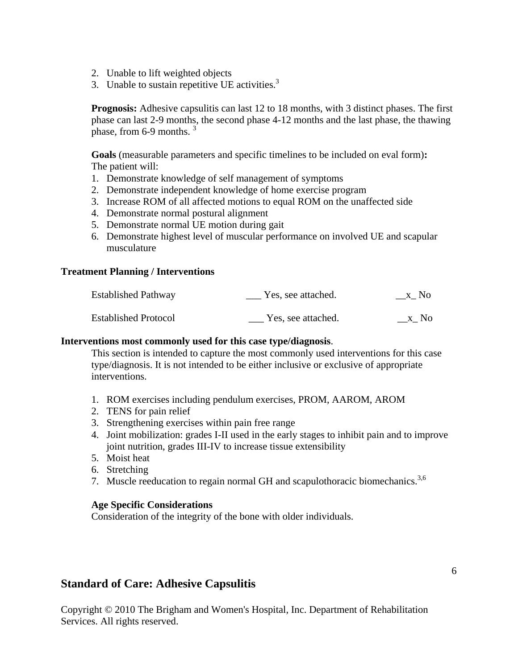- 2. Unable to lift weighted objects
- 3. Unable to sustain repetitive UE activities. $3$

**Prognosis:** Adhesive capsulitis can last 12 to 18 months, with 3 distinct phases. The first phase can last 2-9 months, the second phase 4-12 months and the last phase, the thawing phase, from 6-9 months.  $3\overline{)}$ 

**Goals** (measurable parameters and specific timelines to be included on eval form)**:**  The patient will:

- 1. Demonstrate knowledge of self management of symptoms
- 2. Demonstrate independent knowledge of home exercise program
- 3. Increase ROM of all affected motions to equal ROM on the unaffected side
- 4. Demonstrate normal postural alignment
- 5. Demonstrate normal UE motion during gait
- 6. Demonstrate highest level of muscular performance on involved UE and scapular musculature

#### **Treatment Planning / Interventions**

| <b>Established Pathway</b>  | Yes, see attached. | $X_N$ No |
|-----------------------------|--------------------|----------|
| <b>Established Protocol</b> | Yes, see attached. | x No     |

#### **Interventions most commonly used for this case type/diagnosis**.

 This section is intended to capture the most commonly used interventions for this case type/diagnosis. It is not intended to be either inclusive or exclusive of appropriate interventions.

- 1. ROM exercises including pendulum exercises, PROM, AAROM, AROM
- 2. TENS for pain relief
- 3. Strengthening exercises within pain free range
- 4. Joint mobilization: grades I-II used in the early stages to inhibit pain and to improve joint nutrition, grades III-IV to increase tissue extensibility
- 5. Moist heat
- 6. Stretching
- 7. Muscle reeducation to regain normal GH and scapulothoracic biomechanics.<sup>3,6</sup>

#### **Age Specific Considerations**

Consideration of the integrity of the bone with older individuals.

# **Standard of Care: Adhesive Capsulitis**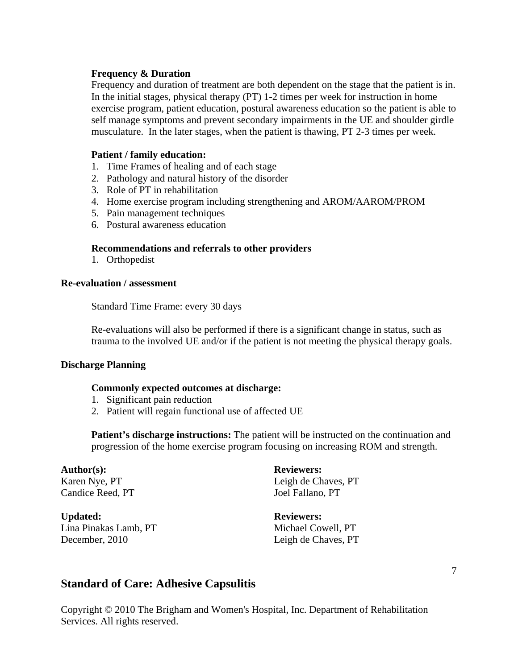#### **Frequency & Duration**

 Frequency and duration of treatment are both dependent on the stage that the patient is in. In the initial stages, physical therapy (PT) 1-2 times per week for instruction in home exercise program, patient education, postural awareness education so the patient is able to self manage symptoms and prevent secondary impairments in the UE and shoulder girdle musculature. In the later stages, when the patient is thawing, PT 2-3 times per week.

#### **Patient / family education:**

- 1. Time Frames of healing and of each stage
- 2. Pathology and natural history of the disorder
- 3. Role of PT in rehabilitation
- 4. Home exercise program including strengthening and AROM/AAROM/PROM
- 5. Pain management techniques
- 6. Postural awareness education

#### **Recommendations and referrals to other providers**

1. Orthopedist

#### **Re-evaluation / assessment**

Standard Time Frame: every 30 days

Re-evaluations will also be performed if there is a significant change in status, such as trauma to the involved UE and/or if the patient is not meeting the physical therapy goals.

#### **Discharge Planning**

#### **Commonly expected outcomes at discharge:**

- 1. Significant pain reduction
- 2. Patient will regain functional use of affected UE

**Patient's discharge instructions:** The patient will be instructed on the continuation and progression of the home exercise program focusing on increasing ROM and strength.

Candice Reed, PT Joel Fallano, PT

**Updated: Reviewers:**  Lina Pinakas Lamb, PT Michael Cowell, PT December, 2010 Leigh de Chaves, PT

Author(s): Reviewers: Karen Nye, PT Leigh de Chaves, PT

# **Standard of Care: Adhesive Capsulitis**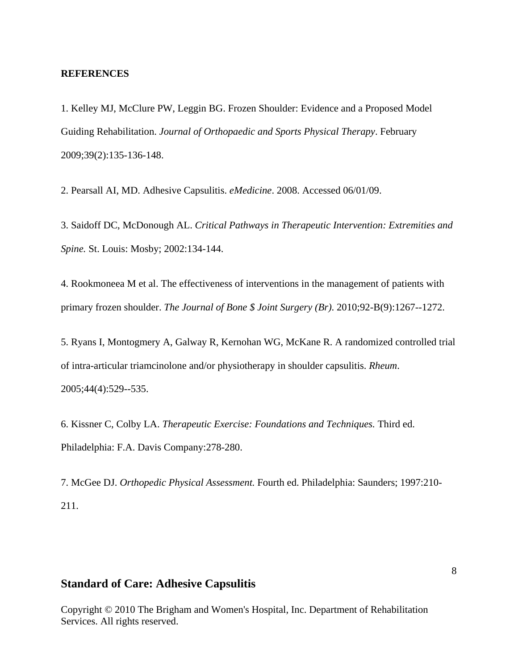#### **REFERENCES**

1. Kelley MJ, McClure PW, Leggin BG. Frozen Shoulder: Evidence and a Proposed Model Guiding Rehabilitation. *Journal of Orthopaedic and Sports Physical Therapy*. February 2009;39(2):135-136-148.

2. Pearsall AI, MD. Adhesive Capsulitis. *eMedicine*. 2008. Accessed 06/01/09.

3. Saidoff DC, McDonough AL. *Critical Pathways in Therapeutic Intervention: Extremities and Spine.* St. Louis: Mosby; 2002:134-144.

4. Rookmoneea M et al. The effectiveness of interventions in the management of patients with primary frozen shoulder. *The Journal of Bone \$ Joint Surgery (Br)*. 2010;92-B(9):1267--1272.

5. Ryans I, Montogmery A, Galway R, Kernohan WG, McKane R. A randomized controlled trial of intra-articular triamcinolone and/or physiotherapy in shoulder capsulitis. *Rheum*. 2005;44(4):529--535.

6. Kissner C, Colby LA. *Therapeutic Exercise: Foundations and Techniques.* Third ed. Philadelphia: F.A. Davis Company:278-280.

7. McGee DJ. *Orthopedic Physical Assessment.* Fourth ed. Philadelphia: Saunders; 1997:210- 211.

#### **Standard of Care: Adhesive Capsulitis**